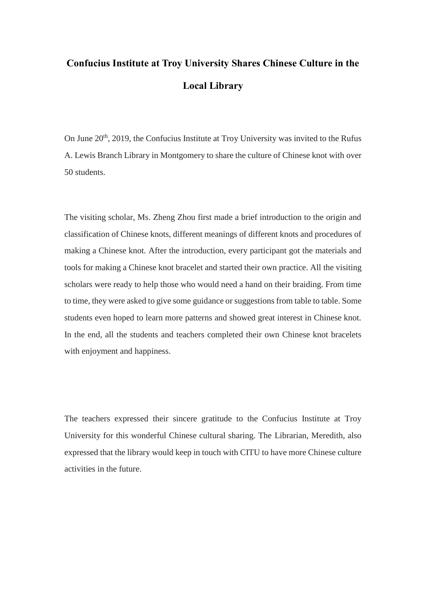## **Confucius Institute at Troy University Shares Chinese Culture in the Local Library**

On June 20<sup>th</sup>, 2019, the Confucius Institute at Troy University was invited to the Rufus A. Lewis Branch Library in Montgomery to share the culture of Chinese knot with over 50 students.

The visiting scholar, Ms. Zheng Zhou first made a brief introduction to the origin and classification of Chinese knots, different meanings of different knots and procedures of making a Chinese knot. After the introduction, every participant got the materials and tools for making a Chinese knot bracelet and started their own practice. All the visiting scholars were ready to help those who would need a hand on their braiding. From time to time, they were asked to give some guidance or suggestions from table to table. Some students even hoped to learn more patterns and showed great interest in Chinese knot. In the end, all the students and teachers completed their own Chinese knot bracelets with enjoyment and happiness.

The teachers expressed their sincere gratitude to the Confucius Institute at Troy University for this wonderful Chinese cultural sharing. The Librarian, Meredith, also expressed that the library would keep in touch with CITU to have more Chinese culture activities in the future.